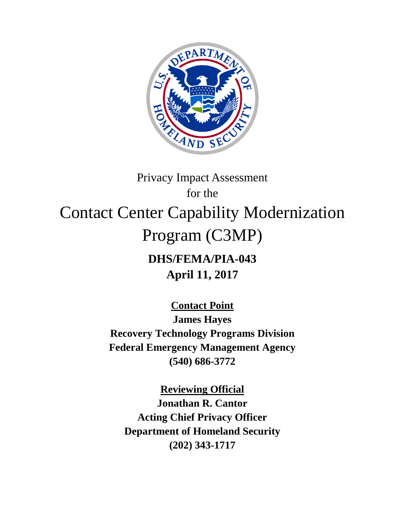

# Privacy Impact Assessment for the Contact Center Capability Modernization Program (C3MP) **DHS/FEMA/PIA-043**

**April 11, 2017**

**Contact Point**

**James Hayes Recovery Technology Programs Division Federal Emergency Management Agency (540) 686-3772**

**Reviewing Official Jonathan R. Cantor Acting Chief Privacy Officer Department of Homeland Security (202) 343-1717**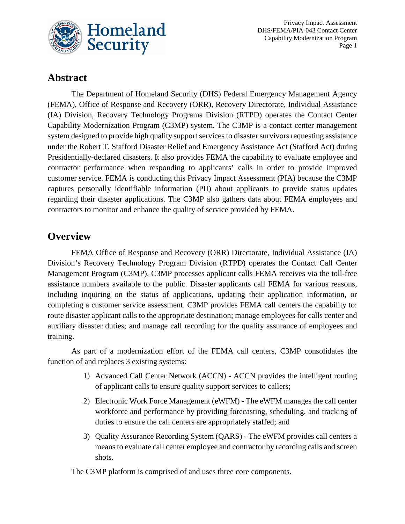

Privacy Impact Assessment DHS/FEMA/PIA-043 Contact Center Capability Modernization Program Page 1

## **Abstract**

The Department of Homeland Security (DHS) Federal Emergency Management Agency (FEMA), Office of Response and Recovery (ORR), Recovery Directorate, Individual Assistance (IA) Division, Recovery Technology Programs Division (RTPD) operates the Contact Center Capability Modernization Program (C3MP) system. The C3MP is a contact center management system designed to provide high quality support services to disaster survivors requesting assistance under the Robert T. Stafford Disaster Relief and Emergency Assistance Act (Stafford Act) during Presidentially-declared disasters. It also provides FEMA the capability to evaluate employee and contractor performance when responding to applicants' calls in order to provide improved customer service. FEMA is conducting this Privacy Impact Assessment (PIA) because the C3MP captures personally identifiable information (PII) about applicants to provide status updates regarding their disaster applications. The C3MP also gathers data about FEMA employees and contractors to monitor and enhance the quality of service provided by FEMA.

## **Overview**

FEMA Office of Response and Recovery (ORR) Directorate, Individual Assistance (IA) Division's Recovery Technology Program Division (RTPD) operates the Contact Call Center Management Program (C3MP). C3MP processes applicant calls FEMA receives via the toll-free assistance numbers available to the public. Disaster applicants call FEMA for various reasons, including inquiring on the status of applications, updating their application information, or completing a customer service assessment. C3MP provides FEMA call centers the capability to: route disaster applicant calls to the appropriate destination; manage employees for calls center and auxiliary disaster duties; and manage call recording for the quality assurance of employees and training.

As part of a modernization effort of the FEMA call centers, C3MP consolidates the function of and replaces 3 existing systems:

- 1) Advanced Call Center Network (ACCN) ACCN provides the intelligent routing of applicant calls to ensure quality support services to callers;
- 2) Electronic Work Force Management (eWFM) The eWFM manages the call center workforce and performance by providing forecasting, scheduling, and tracking of duties to ensure the call centers are appropriately staffed; and
- 3) Quality Assurance Recording System (QARS) The eWFM provides call centers a means to evaluate call center employee and contractor by recording calls and screen shots.

The C3MP platform is comprised of and uses three core components.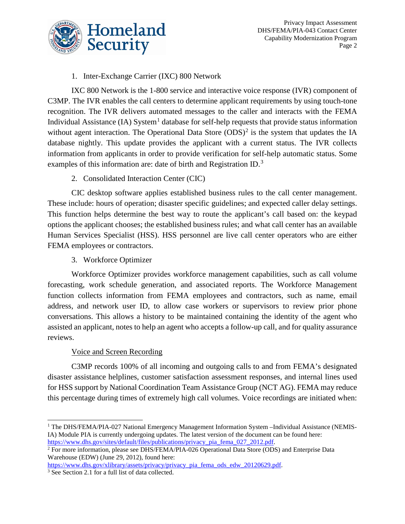

#### 1. Inter-Exchange Carrier (IXC) 800 Network

IXC 800 Network is the 1-800 service and interactive voice response (IVR) component of C3MP. The IVR enables the call centers to determine applicant requirements by using touch-tone recognition. The IVR delivers automated messages to the caller and interacts with the FEMA Individual Assistance  $(IA)$  System<sup>[1](#page-2-0)</sup> database for self-help requests that provide status information without agent interaction. The Operational Data Store  $(ODS)^2$  $(ODS)^2$  is the system that updates the IA database nightly. This update provides the applicant with a current status. The IVR collects information from applicants in order to provide verification for self-help automatic status. Some examples of this information are: date of birth and Registration ID.<sup>[3](#page-2-2)</sup>

#### 2. Consolidated Interaction Center (CIC)

CIC desktop software applies established business rules to the call center management. These include: hours of operation; disaster specific guidelines; and expected caller delay settings. This function helps determine the best way to route the applicant's call based on: the keypad options the applicant chooses; the established business rules; and what call center has an available Human Services Specialist (HSS). HSS personnel are live call center operators who are either FEMA employees or contractors.

3. Workforce Optimizer

Workforce Optimizer provides workforce management capabilities, such as call volume forecasting, work schedule generation, and associated reports. The Workforce Management function collects information from FEMA employees and contractors, such as name, email address, and network user ID, to allow case workers or supervisors to review prior phone conversations. This allows a history to be maintained containing the identity of the agent who assisted an applicant, notes to help an agent who accepts a follow-up call, and for quality assurance reviews.

#### Voice and Screen Recording

C3MP records 100% of all incoming and outgoing calls to and from FEMA's designated disaster assistance helplines, customer satisfaction assessment responses, and internal lines used for HSS support by National Coordination Team Assistance Group (NCT AG). FEMA may reduce this percentage during times of extremely high call volumes. Voice recordings are initiated when:

<span id="page-2-2"></span>[https://www.dhs.gov/xlibrary/assets/privacy/privacy\\_pia\\_fema\\_ods\\_edw\\_20120629.pdf.](https://www.dhs.gov/xlibrary/assets/privacy/privacy_pia_fema_ods_edw_20120629.pdf) [3](https://www.dhs.gov/xlibrary/assets/privacy/privacy_pia_fema_ods_edw_20120629.pdf) See Section 2.1 for a full list of data collected.

<span id="page-2-0"></span><sup>&</sup>lt;sup>1</sup> The DHS/FEMA/PIA-027 National Emergency Management Information System -Individual Assistance (NEMIS-IA) Module PIA is currently undergoing updates. The latest version of the document can be found here:<br>https://www.dhs.gov/sites/default/files/publications/privacy pia fema 027 2012.pdf.

<span id="page-2-1"></span><sup>&</sup>lt;sup>2</sup> For more information, please see DHS/FEMA/PIA-026 Operational Data Store (ODS) and Enterprise Data Warehouse (EDW) (June 29, 2012), found here: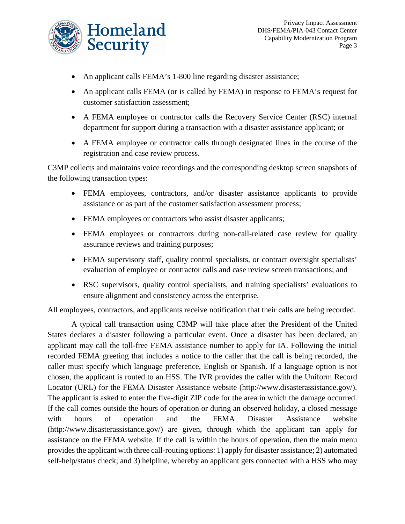

- An applicant calls FEMA's 1-800 line regarding disaster assistance;
- An applicant calls FEMA (or is called by FEMA) in response to FEMA's request for customer satisfaction assessment;
- A FEMA employee or contractor calls the Recovery Service Center (RSC) internal department for support during a transaction with a disaster assistance applicant; or
- A FEMA employee or contractor calls through designated lines in the course of the registration and case review process.

C3MP collects and maintains voice recordings and the corresponding desktop screen snapshots of the following transaction types:

- FEMA employees, contractors, and/or disaster assistance applicants to provide assistance or as part of the customer satisfaction assessment process;
- FEMA employees or contractors who assist disaster applicants;
- FEMA employees or contractors during non-call-related case review for quality assurance reviews and training purposes;
- FEMA supervisory staff, quality control specialists, or contract oversight specialists' evaluation of employee or contractor calls and case review screen transactions; and
- RSC supervisors, quality control specialists, and training specialists' evaluations to ensure alignment and consistency across the enterprise.

All employees, contractors, and applicants receive notification that their calls are being recorded.

A typical call transaction using C3MP will take place after the President of the United States declares a disaster following a particular event. Once a disaster has been declared, an applicant may call the toll-free FEMA assistance number to apply for IA. Following the initial recorded FEMA greeting that includes a notice to the caller that the call is being recorded, the caller must specify which language preference, English or Spanish. If a language option is not chosen, the applicant is routed to an HSS. The IVR provides the caller with the Uniform Record Locator (URL) for the FEMA Disaster Assistance website (http://www.disasterassistance.gov/). The applicant is asked to enter the five-digit ZIP code for the area in which the damage occurred. If the call comes outside the hours of operation or during an observed holiday, a closed message with hours of operation and the FEMA Disaster Assistance website [\(http://www.disasterassistance.gov/\)](http://www.disasterassistance.gov/) are given, through which the applicant can apply for assistance on the FEMA website. If the call is within the hours of operation, then the main menu provides the applicant with three call-routing options: 1) apply for disaster assistance; 2) automated self-help/status check; and 3) helpline, whereby an applicant gets connected with a HSS who may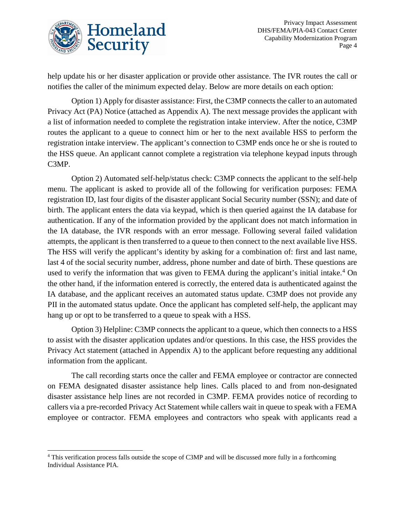

help update his or her disaster application or provide other assistance. The IVR routes the call or notifies the caller of the minimum expected delay. Below are more details on each option:

Option 1) Apply for disaster assistance: First, the C3MP connects the caller to an automated Privacy Act (PA) Notice (attached as Appendix A). The next message provides the applicant with a list of information needed to complete the registration intake interview. After the notice, C3MP routes the applicant to a queue to connect him or her to the next available HSS to perform the registration intake interview. The applicant's connection to C3MP ends once he or she is routed to the HSS queue. An applicant cannot complete a registration via telephone keypad inputs through C3MP.

Option 2) Automated self-help/status check: C3MP connects the applicant to the self-help menu. The applicant is asked to provide all of the following for verification purposes: FEMA registration ID, last four digits of the disaster applicant Social Security number (SSN); and date of birth. The applicant enters the data via keypad, which is then queried against the IA database for authentication. If any of the information provided by the applicant does not match information in the IA database, the IVR responds with an error message. Following several failed validation attempts, the applicant is then transferred to a queue to then connect to the next available live HSS. The HSS will verify the applicant's identity by asking for a combination of: first and last name, last 4 of the social security number, address, phone number and date of birth. These questions are used to verify the information that was given to FEMA during the applicant's initial intake.<sup>[4](#page-4-0)</sup> On the other hand, if the information entered is correctly, the entered data is authenticated against the IA database, and the applicant receives an automated status update. C3MP does not provide any PII in the automated status update. Once the applicant has completed self-help, the applicant may hang up or opt to be transferred to a queue to speak with a HSS.

Option 3) Helpline: C3MP connects the applicant to a queue, which then connects to a HSS to assist with the disaster application updates and/or questions. In this case, the HSS provides the Privacy Act statement (attached in Appendix A) to the applicant before requesting any additional information from the applicant.

The call recording starts once the caller and FEMA employee or contractor are connected on FEMA designated disaster assistance help lines. Calls placed to and from non-designated disaster assistance help lines are not recorded in C3MP. FEMA provides notice of recording to callers via a pre-recorded Privacy Act Statement while callers wait in queue to speak with a FEMA employee or contractor. FEMA employees and contractors who speak with applicants read a

<span id="page-4-0"></span> <sup>4</sup> This verification process falls outside the scope of C3MP and will be discussed more fully in a forthcoming Individual Assistance PIA.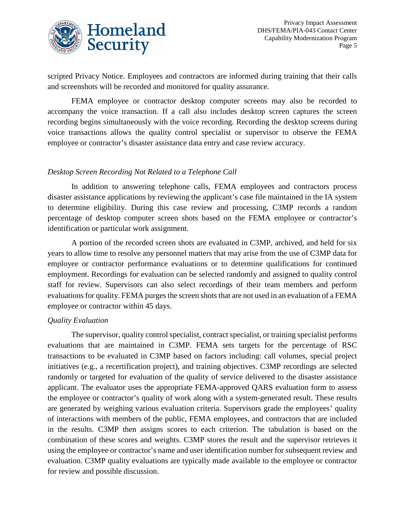

scripted Privacy Notice. Employees and contractors are informed during training that their calls and screenshots will be recorded and monitored for quality assurance.

FEMA employee or contractor desktop computer screens may also be recorded to accompany the voice transaction. If a call also includes desktop screen captures the screen recording begins simultaneously with the voice recording. Recording the desktop screens during voice transactions allows the quality control specialist or supervisor to observe the FEMA employee or contractor's disaster assistance data entry and case review accuracy.

#### *Desktop Screen Recording Not Related to a Telephone Call*

In addition to answering telephone calls, FEMA employees and contractors process disaster assistance applications by reviewing the applicant's case file maintained in the IA system to determine eligibility. During this case review and processing, C3MP records a random percentage of desktop computer screen shots based on the FEMA employee or contractor's identification or particular work assignment.

A portion of the recorded screen shots are evaluated in C3MP, archived, and held for six years to allow time to resolve any personnel matters that may arise from the use of C3MP data for employee or contractor performance evaluations or to determine qualifications for continued employment. Recordings for evaluation can be selected randomly and assigned to quality control staff for review. Supervisors can also select recordings of their team members and perform evaluations for quality. FEMA purges the screen shots that are not used in an evaluation of a FEMA employee or contractor within 45 days.

#### *Quality Evaluation*

The supervisor, quality control specialist, contract specialist, or training specialist performs evaluations that are maintained in C3MP. FEMA sets targets for the percentage of RSC transactions to be evaluated in C3MP based on factors including: call volumes, special project initiatives (e.g., a recertification project), and training objectives. C3MP recordings are selected randomly or targeted for evaluation of the quality of service delivered to the disaster assistance applicant. The evaluator uses the appropriate FEMA-approved QARS evaluation form to assess the employee or contractor's quality of work along with a system-generated result. These results are generated by weighing various evaluation criteria. Supervisors grade the employees' quality of interactions with members of the public, FEMA employees, and contractors that are included in the results. C3MP then assigns scores to each criterion. The tabulation is based on the combination of these scores and weights. C3MP stores the result and the supervisor retrieves it using the employee or contractor's name and user identification number for subsequent review and evaluation. C3MP quality evaluations are typically made available to the employee or contractor for review and possible discussion.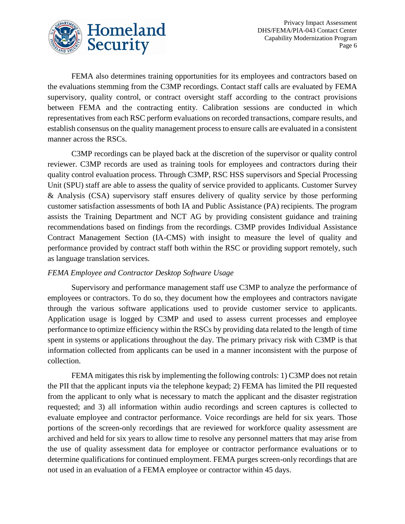

FEMA also determines training opportunities for its employees and contractors based on the evaluations stemming from the C3MP recordings. Contact staff calls are evaluated by FEMA supervisory, quality control, or contract oversight staff according to the contract provisions between FEMA and the contracting entity. Calibration sessions are conducted in which representatives from each RSC perform evaluations on recorded transactions, compare results, and establish consensus on the quality management process to ensure calls are evaluated in a consistent manner across the RSCs.

C3MP recordings can be played back at the discretion of the supervisor or quality control reviewer. C3MP records are used as training tools for employees and contractors during their quality control evaluation process. Through C3MP, RSC HSS supervisors and Special Processing Unit (SPU) staff are able to assess the quality of service provided to applicants. Customer Survey & Analysis (CSA) supervisory staff ensures delivery of quality service by those performing customer satisfaction assessments of both IA and Public Assistance (PA) recipients. The program assists the Training Department and NCT AG by providing consistent guidance and training recommendations based on findings from the recordings. C3MP provides Individual Assistance Contract Management Section (IA-CMS) with insight to measure the level of quality and performance provided by contract staff both within the RSC or providing support remotely, such as language translation services.

#### *FEMA Employee and Contractor Desktop Software Usage*

Supervisory and performance management staff use C3MP to analyze the performance of employees or contractors. To do so, they document how the employees and contractors navigate through the various software applications used to provide customer service to applicants. Application usage is logged by C3MP and used to assess current processes and employee performance to optimize efficiency within the RSCs by providing data related to the length of time spent in systems or applications throughout the day. The primary privacy risk with C3MP is that information collected from applicants can be used in a manner inconsistent with the purpose of collection.

FEMA mitigates this risk by implementing the following controls: 1) C3MP does not retain the PII that the applicant inputs via the telephone keypad; 2) FEMA has limited the PII requested from the applicant to only what is necessary to match the applicant and the disaster registration requested; and 3) all information within audio recordings and screen captures is collected to evaluate employee and contractor performance. Voice recordings are held for six years. Those portions of the screen-only recordings that are reviewed for workforce quality assessment are archived and held for six years to allow time to resolve any personnel matters that may arise from the use of quality assessment data for employee or contractor performance evaluations or to determine qualifications for continued employment. FEMA purges screen-only recordings that are not used in an evaluation of a FEMA employee or contractor within 45 days.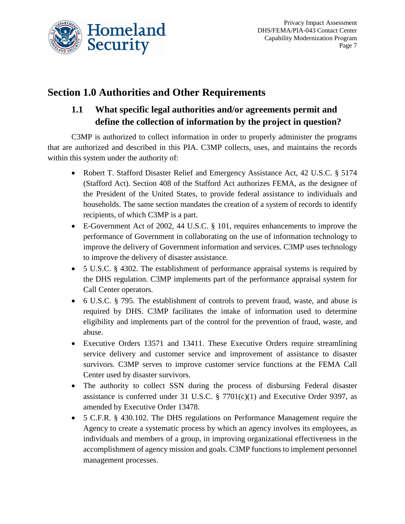

# **Section 1.0 Authorities and Other Requirements**

## **1.1 What specific legal authorities and/or agreements permit and define the collection of information by the project in question?**

C3MP is authorized to collect information in order to properly administer the programs that are authorized and described in this PIA. C3MP collects, uses, and maintains the records within this system under the authority of:

- Robert T. Stafford Disaster Relief and Emergency Assistance Act, 42 U.S.C. § 5174 (Stafford Act). Section 408 of the Stafford Act authorizes FEMA, as the designee of the President of the United States, to provide federal assistance to individuals and households. The same section mandates the creation of a system of records to identify recipients, of which C3MP is a part.
- E-Government Act of 2002, 44 U.S.C. § 101, requires enhancements to improve the performance of Government in collaborating on the use of information technology to improve the delivery of Government information and services. C3MP uses technology to improve the delivery of disaster assistance.
- 5 U.S.C. § 4302. The establishment of performance appraisal systems is required by the DHS regulation. C3MP implements part of the performance appraisal system for Call Center operators.
- 6 U.S.C. § 795. The establishment of controls to prevent fraud, waste, and abuse is required by DHS. C3MP facilitates the intake of information used to determine eligibility and implements part of the control for the prevention of fraud, waste, and abuse.
- Executive Orders 13571 and 13411. These Executive Orders require streamlining service delivery and customer service and improvement of assistance to disaster survivors. C3MP serves to improve customer service functions at the FEMA Call Center used by disaster survivors.
- The authority to collect SSN during the process of disbursing Federal disaster assistance is conferred under 31 U.S.C.  $\S$  7701(c)(1) and Executive Order 9397, as amended by Executive Order 13478.
- 5 C.F.R. § 430.102. The DHS regulations on Performance Management require the Agency to create a systematic process by which an agency involves its employees, as individuals and members of a group, in improving organizational effectiveness in the accomplishment of agency mission and goals. C3MP functions to implement personnel management processes.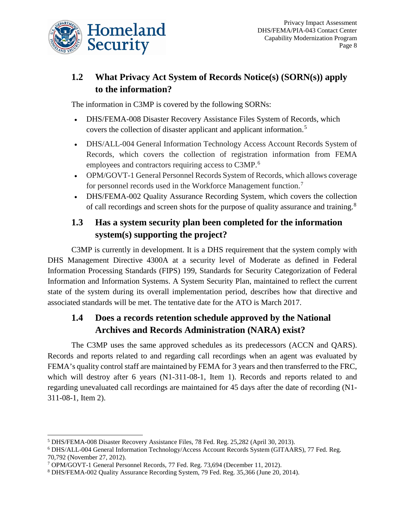

## **1.2 What Privacy Act System of Records Notice(s) (SORN(s)) apply to the information?**

The information in C3MP is covered by the following SORNs:

- DHS/FEMA-008 Disaster Recovery Assistance Files System of Records, which covers the collection of disaster applicant and applicant information.[5](#page-8-0)
- DHS/ALL-004 General Information Technology Access Account Records System of Records, which covers the collection of registration information from FEMA employees and contractors requiring access to C3MP.<sup>[6](#page-8-1)</sup>
- OPM/GOVT-1 General Personnel Records System of Records, which allows coverage for personnel records used in the Workforce Management function.[7](#page-8-2)
- DHS/FEMA-002 Quality Assurance Recording System, which covers the collection of call recordings and screen shots for the purpose of quality assurance and training.<sup>[8](#page-8-3)</sup>

## **1.3 Has a system security plan been completed for the information system(s) supporting the project?**

C3MP is currently in development. It is a DHS requirement that the system comply with DHS Management Directive 4300A at a security level of Moderate as defined in Federal Information Processing Standards (FIPS) 199, Standards for Security Categorization of Federal Information and Information Systems. A System Security Plan, maintained to reflect the current state of the system during its overall implementation period, describes how that directive and associated standards will be met. The tentative date for the ATO is March 2017.

## **1.4 Does a records retention schedule approved by the National Archives and Records Administration (NARA) exist?**

The C3MP uses the same approved schedules as its predecessors (ACCN and QARS). Records and reports related to and regarding call recordings when an agent was evaluated by FEMA's quality control staff are maintained by FEMA for 3 years and then transferred to the FRC, which will destroy after 6 years (N1-311-08-1, Item 1). Records and reports related to and regarding unevaluated call recordings are maintained for 45 days after the date of recording (N1- 311-08-1, Item 2).

<span id="page-8-0"></span> <sup>5</sup> DHS/FEMA-008 Disaster Recovery Assistance Files, 78 Fed. Reg. 25,282 (April 30, 2013).

<span id="page-8-1"></span><sup>6</sup> DHS/ALL-004 General Information Technology/Access Account Records System (GITAARS), 77 Fed. Reg. 70,792 (November 27, 2012).

<span id="page-8-2"></span><sup>7</sup> OPM/GOVT-1 General Personnel Records, 77 Fed. Reg. 73,694 (December 11, 2012).

<span id="page-8-3"></span><sup>8</sup> DHS/FEMA-002 Quality Assurance Recording System, 79 Fed. Reg. 35,366 (June 20, 2014).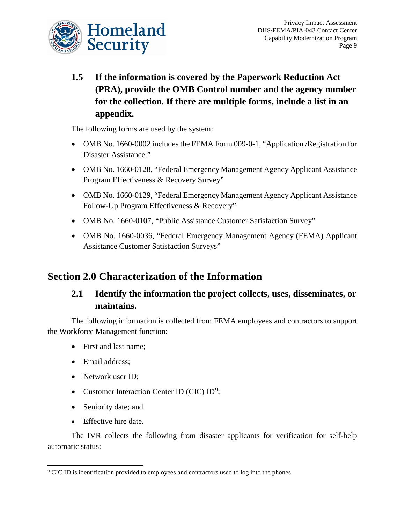

**1.5 If the information is covered by the Paperwork Reduction Act (PRA), provide the OMB Control number and the agency number for the collection. If there are multiple forms, include a list in an appendix.** 

The following forms are used by the system:

- OMB No. 1660-0002 includes the FEMA Form 009-0-1, "Application / Registration for Disaster Assistance."
- OMB No. 1660-0128, "Federal Emergency Management Agency Applicant Assistance Program Effectiveness & Recovery Survey"
- OMB No. 1660-0129, "Federal Emergency Management Agency Applicant Assistance Follow-Up Program Effectiveness & Recovery"
- OMB No. 1660-0107, "Public Assistance Customer Satisfaction Survey"
- OMB No. 1660-0036, "Federal Emergency Management Agency (FEMA) Applicant Assistance Customer Satisfaction Surveys"

## **Section 2.0 Characterization of the Information**

## **2.1 Identify the information the project collects, uses, disseminates, or maintains.**

The following information is collected from FEMA employees and contractors to support the Workforce Management function:

- First and last name:
- Email address:
- Network user ID;
- Customer Interaction Center ID (CIC) ID<sup>[9](#page-9-0)</sup>;
- Seniority date; and
- Effective hire date.

The IVR collects the following from disaster applicants for verification for self-help automatic status:

<span id="page-9-0"></span><sup>&</sup>lt;sup>9</sup> CIC ID is identification provided to employees and contractors used to log into the phones.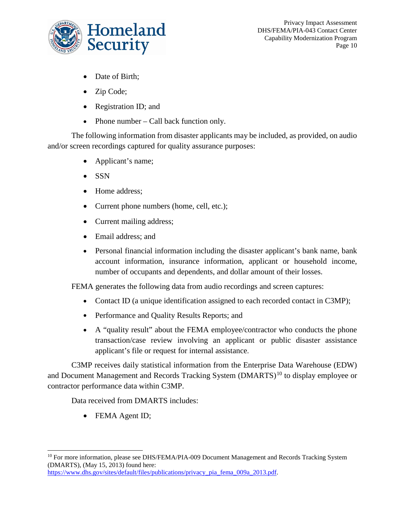

- Date of Birth;
- Zip Code;
- Registration ID; and
- Phone number Call back function only.

The following information from disaster applicants may be included, as provided, on audio and/or screen recordings captured for quality assurance purposes:

- Applicant's name;
- SSN
- Home address;
- Current phone numbers (home, cell, etc.);
- Current mailing address;
- Email address; and
- Personal financial information including the disaster applicant's bank name, bank account information, insurance information, applicant or household income, number of occupants and dependents, and dollar amount of their losses.

FEMA generates the following data from audio recordings and screen captures:

- Contact ID (a unique identification assigned to each recorded contact in C3MP);
- Performance and Quality Results Reports; and
- A "quality result" about the FEMA employee/contractor who conducts the phone transaction/case review involving an applicant or public disaster assistance applicant's file or request for internal assistance.

C3MP receives daily statistical information from the Enterprise Data Warehouse (EDW) and Document Management and Records Tracking System (DMARTS)<sup>[10](#page-10-0)</sup> to display employee or contractor performance data within C3MP.

Data received from DMARTS includes:

• FEMA Agent ID;

[https://www.dhs.gov/sites/default/files/publications/privacy\\_pia\\_fema\\_009a\\_2013.pdf.](https://www.dhs.gov/sites/default/files/publications/privacy_pia_fema_009a_2013.pdf) 

<span id="page-10-0"></span><sup>&</sup>lt;sup>10</sup> For more information, please see DHS/FEMA/PIA-009 Document Management and Records Tracking System (DMARTS), (May 15, 2013) found here: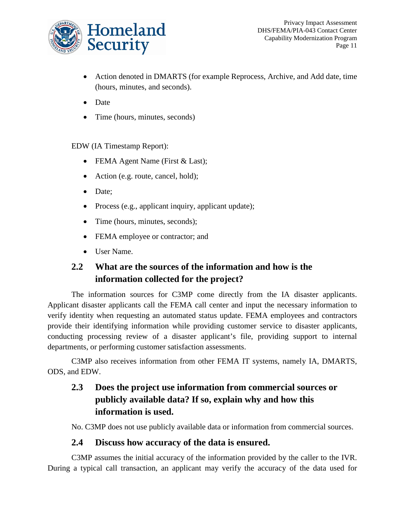

- Action denoted in DMARTS (for example Reprocess, Archive, and Add date, time (hours, minutes, and seconds).
- Date
- Time (hours, minutes, seconds)

EDW (IA Timestamp Report):

- FEMA Agent Name (First & Last);
- Action (e.g. route, cancel, hold);
- Date;
- Process (e.g., applicant inquiry, applicant update);
- Time (hours, minutes, seconds);
- FEMA employee or contractor; and
- User Name.

## **2.2 What are the sources of the information and how is the information collected for the project?**

The information sources for C3MP come directly from the IA disaster applicants. Applicant disaster applicants call the FEMA call center and input the necessary information to verify identity when requesting an automated status update. FEMA employees and contractors provide their identifying information while providing customer service to disaster applicants, conducting processing review of a disaster applicant's file, providing support to internal departments, or performing customer satisfaction assessments.

C3MP also receives information from other FEMA IT systems, namely IA, DMARTS, ODS, and EDW.

## **2.3 Does the project use information from commercial sources or publicly available data? If so, explain why and how this information is used.**

No. C3MP does not use publicly available data or information from commercial sources.

#### **2.4 Discuss how accuracy of the data is ensured.**

C3MP assumes the initial accuracy of the information provided by the caller to the IVR. During a typical call transaction, an applicant may verify the accuracy of the data used for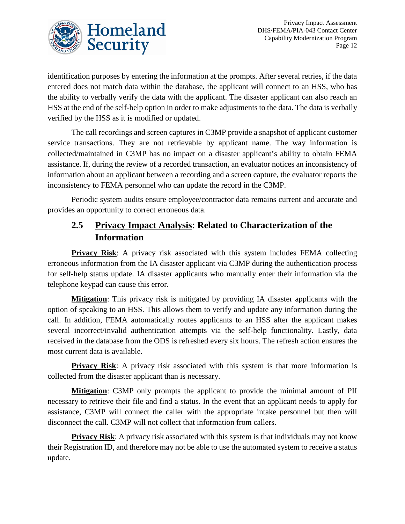

identification purposes by entering the information at the prompts. After several retries, if the data entered does not match data within the database, the applicant will connect to an HSS, who has the ability to verbally verify the data with the applicant. The disaster applicant can also reach an HSS at the end of the self-help option in order to make adjustments to the data. The data is verbally verified by the HSS as it is modified or updated.

The call recordings and screen captures in C3MP provide a snapshot of applicant customer service transactions. They are not retrievable by applicant name. The way information is collected/maintained in C3MP has no impact on a disaster applicant's ability to obtain FEMA assistance. If, during the review of a recorded transaction, an evaluator notices an inconsistency of information about an applicant between a recording and a screen capture, the evaluator reports the inconsistency to FEMA personnel who can update the record in the C3MP.

Periodic system audits ensure employee/contractor data remains current and accurate and provides an opportunity to correct erroneous data.

## **2.5 Privacy Impact Analysis: Related to Characterization of the Information**

**Privacy Risk**: A privacy risk associated with this system includes FEMA collecting erroneous information from the IA disaster applicant via C3MP during the authentication process for self-help status update. IA disaster applicants who manually enter their information via the telephone keypad can cause this error.

**Mitigation**: This privacy risk is mitigated by providing IA disaster applicants with the option of speaking to an HSS. This allows them to verify and update any information during the call. In addition, FEMA automatically routes applicants to an HSS after the applicant makes several incorrect/invalid authentication attempts via the self-help functionality. Lastly, data received in the database from the ODS is refreshed every six hours. The refresh action ensures the most current data is available.

**Privacy Risk**: A privacy risk associated with this system is that more information is collected from the disaster applicant than is necessary.

**Mitigation**: C3MP only prompts the applicant to provide the minimal amount of PII necessary to retrieve their file and find a status. In the event that an applicant needs to apply for assistance, C3MP will connect the caller with the appropriate intake personnel but then will disconnect the call. C3MP will not collect that information from callers.

**Privacy Risk:** A privacy risk associated with this system is that individuals may not know their Registration ID, and therefore may not be able to use the automated system to receive a status update.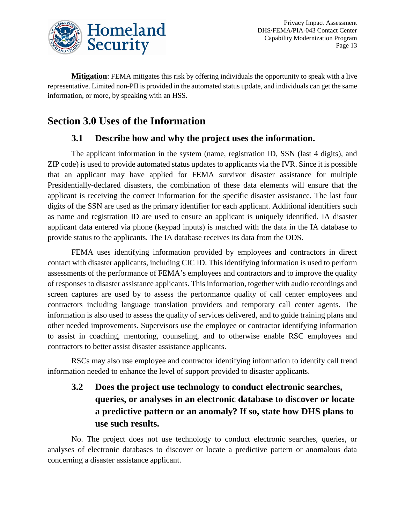

**Mitigation**: FEMA mitigates this risk by offering individuals the opportunity to speak with a live representative. Limited non-PII is provided in the automated status update, and individuals can get the same information, or more, by speaking with an HSS.

# **Section 3.0 Uses of the Information**

#### **3.1 Describe how and why the project uses the information.**

The applicant information in the system (name, registration ID, SSN (last 4 digits), and ZIP code) is used to provide automated status updates to applicants via the IVR. Since it is possible that an applicant may have applied for FEMA survivor disaster assistance for multiple Presidentially-declared disasters, the combination of these data elements will ensure that the applicant is receiving the correct information for the specific disaster assistance. The last four digits of the SSN are used as the primary identifier for each applicant. Additional identifiers such as name and registration ID are used to ensure an applicant is uniquely identified. IA disaster applicant data entered via phone (keypad inputs) is matched with the data in the IA database to provide status to the applicants. The IA database receives its data from the ODS.

FEMA uses identifying information provided by employees and contractors in direct contact with disaster applicants, including CIC ID. This identifying information is used to perform assessments of the performance of FEMA's employees and contractors and to improve the quality of responses to disaster assistance applicants. This information, together with audio recordings and screen captures are used by to assess the performance quality of call center employees and contractors including language translation providers and temporary call center agents. The information is also used to assess the quality of services delivered, and to guide training plans and other needed improvements. Supervisors use the employee or contractor identifying information to assist in coaching, mentoring, counseling, and to otherwise enable RSC employees and contractors to better assist disaster assistance applicants.

RSCs may also use employee and contractor identifying information to identify call trend information needed to enhance the level of support provided to disaster applicants.

## **3.2 Does the project use technology to conduct electronic searches, queries, or analyses in an electronic database to discover or locate a predictive pattern or an anomaly? If so, state how DHS plans to use such results.**

No. The project does not use technology to conduct electronic searches, queries, or analyses of electronic databases to discover or locate a predictive pattern or anomalous data concerning a disaster assistance applicant.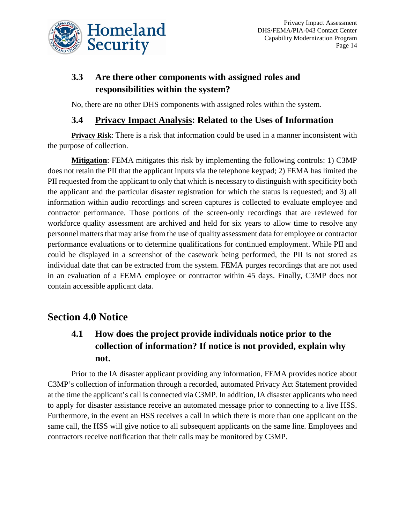

## **3.3 Are there other components with assigned roles and responsibilities within the system?**

No, there are no other DHS components with assigned roles within the system.

#### **3.4 Privacy Impact Analysis: Related to the Uses of Information**

**Privacy Risk**: There is a risk that information could be used in a manner inconsistent with the purpose of collection.

**Mitigation**: FEMA mitigates this risk by implementing the following controls: 1) C3MP does not retain the PII that the applicant inputs via the telephone keypad; 2) FEMA has limited the PII requested from the applicant to only that which is necessary to distinguish with specificity both the applicant and the particular disaster registration for which the status is requested; and 3) all information within audio recordings and screen captures is collected to evaluate employee and contractor performance. Those portions of the screen-only recordings that are reviewed for workforce quality assessment are archived and held for six years to allow time to resolve any personnel matters that may arise from the use of quality assessment data for employee or contractor performance evaluations or to determine qualifications for continued employment. While PII and could be displayed in a screenshot of the casework being performed, the PII is not stored as individual date that can be extracted from the system. FEMA purges recordings that are not used in an evaluation of a FEMA employee or contractor within 45 days. Finally, C3MP does not contain accessible applicant data.

## **Section 4.0 Notice**

## **4.1 How does the project provide individuals notice prior to the collection of information? If notice is not provided, explain why not.**

Prior to the IA disaster applicant providing any information, FEMA provides notice about C3MP's collection of information through a recorded, automated Privacy Act Statement provided at the time the applicant's call is connected via C3MP. In addition, IA disaster applicants who need to apply for disaster assistance receive an automated message prior to connecting to a live HSS. Furthermore, in the event an HSS receives a call in which there is more than one applicant on the same call, the HSS will give notice to all subsequent applicants on the same line. Employees and contractors receive notification that their calls may be monitored by C3MP.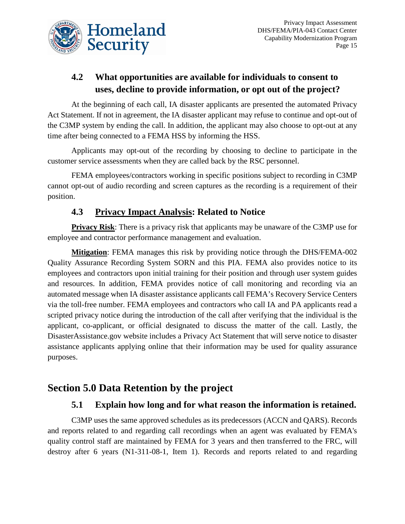

## **4.2 What opportunities are available for individuals to consent to uses, decline to provide information, or opt out of the project?**

At the beginning of each call, IA disaster applicants are presented the automated Privacy Act Statement. If not in agreement, the IA disaster applicant may refuse to continue and opt-out of the C3MP system by ending the call. In addition, the applicant may also choose to opt-out at any time after being connected to a FEMA HSS by informing the HSS.

Applicants may opt-out of the recording by choosing to decline to participate in the customer service assessments when they are called back by the RSC personnel.

FEMA employees/contractors working in specific positions subject to recording in C3MP cannot opt-out of audio recording and screen captures as the recording is a requirement of their position.

## **4.3 Privacy Impact Analysis: Related to Notice**

**Privacy Risk**: There is a privacy risk that applicants may be unaware of the C3MP use for employee and contractor performance management and evaluation.

**Mitigation**: FEMA manages this risk by providing notice through the DHS/FEMA-002 Quality Assurance Recording System SORN and this PIA. FEMA also provides notice to its employees and contractors upon initial training for their position and through user system guides and resources. In addition, FEMA provides notice of call monitoring and recording via an automated message when IA disaster assistance applicants call FEMA's Recovery Service Centers via the toll-free number. FEMA employees and contractors who call IA and PA applicants read a scripted privacy notice during the introduction of the call after verifying that the individual is the applicant, co-applicant, or official designated to discuss the matter of the call. Lastly, the DisasterAssistance.gov website includes a Privacy Act Statement that will serve notice to disaster assistance applicants applying online that their information may be used for quality assurance purposes.

## **Section 5.0 Data Retention by the project**

#### **5.1 Explain how long and for what reason the information is retained.**

C3MP uses the same approved schedules as its predecessors (ACCN and QARS). Records and reports related to and regarding call recordings when an agent was evaluated by FEMA's quality control staff are maintained by FEMA for 3 years and then transferred to the FRC, will destroy after 6 years (N1-311-08-1, Item 1). Records and reports related to and regarding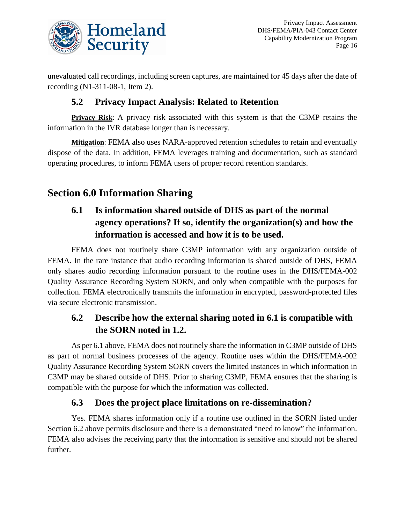

unevaluated call recordings, including screen captures, are maintained for 45 days after the date of recording (N1-311-08-1, Item 2).

## **5.2 Privacy Impact Analysis: Related to Retention**

**Privacy Risk**: A privacy risk associated with this system is that the C3MP retains the information in the IVR database longer than is necessary.

**Mitigation**: FEMA also uses NARA-approved retention schedules to retain and eventually dispose of the data. In addition, FEMA leverages training and documentation, such as standard operating procedures, to inform FEMA users of proper record retention standards.

# **Section 6.0 Information Sharing**

## **6.1 Is information shared outside of DHS as part of the normal agency operations? If so, identify the organization(s) and how the information is accessed and how it is to be used.**

FEMA does not routinely share C3MP information with any organization outside of FEMA. In the rare instance that audio recording information is shared outside of DHS, FEMA only shares audio recording information pursuant to the routine uses in the DHS/FEMA-002 Quality Assurance Recording System SORN, and only when compatible with the purposes for collection. FEMA electronically transmits the information in encrypted, password-protected files via secure electronic transmission.

## **6.2 Describe how the external sharing noted in 6.1 is compatible with the SORN noted in 1.2.**

As per 6.1 above, FEMA does not routinely share the information in C3MP outside of DHS as part of normal business processes of the agency. Routine uses within the DHS/FEMA-002 Quality Assurance Recording System SORN covers the limited instances in which information in C3MP may be shared outside of DHS. Prior to sharing C3MP, FEMA ensures that the sharing is compatible with the purpose for which the information was collected.

## **6.3 Does the project place limitations on re-dissemination?**

Yes. FEMA shares information only if a routine use outlined in the SORN listed under Section 6.2 above permits disclosure and there is a demonstrated "need to know" the information. FEMA also advises the receiving party that the information is sensitive and should not be shared further.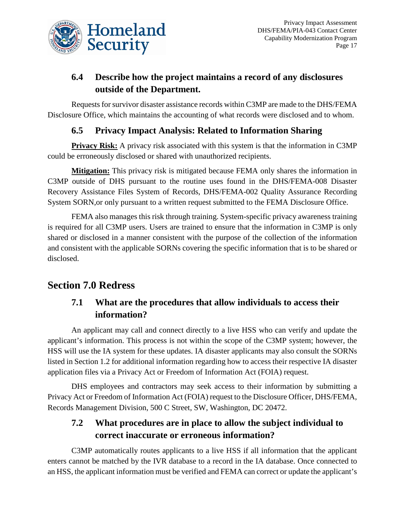

## **6.4 Describe how the project maintains a record of any disclosures outside of the Department.**

Requests for survivor disaster assistance records within C3MP are made to the DHS/FEMA Disclosure Office, which maintains the accounting of what records were disclosed and to whom.

## **6.5 Privacy Impact Analysis: Related to Information Sharing**

**Privacy Risk:** A privacy risk associated with this system is that the information in C3MP could be erroneously disclosed or shared with unauthorized recipients.

**Mitigation:** This privacy risk is mitigated because FEMA only shares the information in C3MP outside of DHS pursuant to the routine uses found in the DHS/FEMA-008 Disaster Recovery Assistance Files System of Records, DHS/FEMA-002 Quality Assurance Recording System SORN,or only pursuant to a written request submitted to the FEMA Disclosure Office.

FEMA also manages this risk through training. System-specific privacy awareness training is required for all C3MP users. Users are trained to ensure that the information in C3MP is only shared or disclosed in a manner consistent with the purpose of the collection of the information and consistent with the applicable SORNs covering the specific information that is to be shared or disclosed.

## **Section 7.0 Redress**

## **7.1 What are the procedures that allow individuals to access their information?**

An applicant may call and connect directly to a live HSS who can verify and update the applicant's information. This process is not within the scope of the C3MP system; however, the HSS will use the IA system for these updates. IA disaster applicants may also consult the SORNs listed in Section 1.2 for additional information regarding how to access their respective IA disaster application files via a Privacy Act or Freedom of Information Act (FOIA) request.

DHS employees and contractors may seek access to their information by submitting a Privacy Act or Freedom of Information Act (FOIA) request to the Disclosure Officer, DHS/FEMA, Records Management Division, 500 C Street, SW, Washington, DC 20472.

## **7.2 What procedures are in place to allow the subject individual to correct inaccurate or erroneous information?**

C3MP automatically routes applicants to a live HSS if all information that the applicant enters cannot be matched by the IVR database to a record in the IA database. Once connected to an HSS, the applicant information must be verified and FEMA can correct or update the applicant's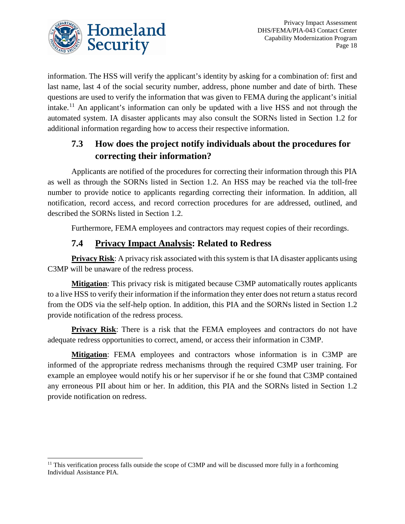

information. The HSS will verify the applicant's identity by asking for a combination of: first and last name, last 4 of the social security number, address, phone number and date of birth. These questions are used to verify the information that was given to FEMA during the applicant's initial intake.<sup>[11](#page-18-0)</sup> An applicant's information can only be updated with a live HSS and not through the automated system. IA disaster applicants may also consult the SORNs listed in Section 1.2 for additional information regarding how to access their respective information.

## **7.3 How does the project notify individuals about the procedures for correcting their information?**

Applicants are notified of the procedures for correcting their information through this PIA as well as through the SORNs listed in Section 1.2. An HSS may be reached via the toll-free number to provide notice to applicants regarding correcting their information. In addition, all notification, record access, and record correction procedures for are addressed, outlined, and described the SORNs listed in Section 1.2.

Furthermore, FEMA employees and contractors may request copies of their recordings.

## **7.4 Privacy Impact Analysis: Related to Redress**

**Privacy Risk:** A privacy risk associated with this system is that IA disaster applicants using C3MP will be unaware of the redress process.

**Mitigation**: This privacy risk is mitigated because C3MP automatically routes applicants to a live HSS to verify their information if the information they enter does not return a status record from the ODS via the self-help option. In addition, this PIA and the SORNs listed in Section 1.2 provide notification of the redress process.

**Privacy Risk:** There is a risk that the FEMA employees and contractors do not have adequate redress opportunities to correct, amend, or access their information in C3MP.

**Mitigation**: FEMA employees and contractors whose information is in C3MP are informed of the appropriate redress mechanisms through the required C3MP user training. For example an employee would notify his or her supervisor if he or she found that C3MP contained any erroneous PII about him or her. In addition, this PIA and the SORNs listed in Section 1.2 provide notification on redress.

<span id="page-18-0"></span> $11$  This verification process falls outside the scope of C3MP and will be discussed more fully in a forthcoming Individual Assistance PIA.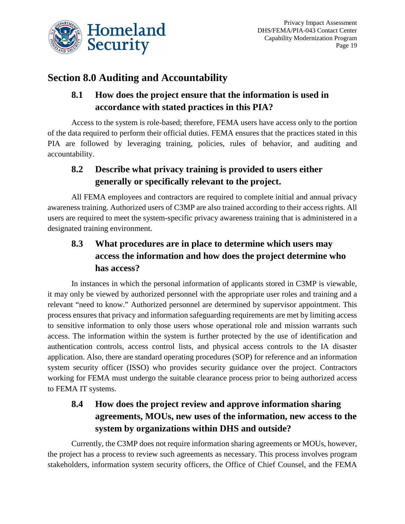

# **Section 8.0 Auditing and Accountability**

## **8.1 How does the project ensure that the information is used in accordance with stated practices in this PIA?**

Access to the system is role-based; therefore, FEMA users have access only to the portion of the data required to perform their official duties. FEMA ensures that the practices stated in this PIA are followed by leveraging training, policies, rules of behavior, and auditing and accountability.

## **8.2 Describe what privacy training is provided to users either generally or specifically relevant to the project.**

All FEMA employees and contractors are required to complete initial and annual privacy awareness training. Authorized users of C3MP are also trained according to their access rights. All users are required to meet the system-specific privacy awareness training that is administered in a designated training environment.

## **8.3 What procedures are in place to determine which users may access the information and how does the project determine who has access?**

In instances in which the personal information of applicants stored in C3MP is viewable, it may only be viewed by authorized personnel with the appropriate user roles and training and a relevant "need to know." Authorized personnel are determined by supervisor appointment. This process ensures that privacy and information safeguarding requirements are met by limiting access to sensitive information to only those users whose operational role and mission warrants such access. The information within the system is further protected by the use of identification and authentication controls, access control lists, and physical access controls to the IA disaster application. Also, there are standard operating procedures (SOP) for reference and an information system security officer (ISSO) who provides security guidance over the project. Contractors working for FEMA must undergo the suitable clearance process prior to being authorized access to FEMA IT systems.

## **8.4 How does the project review and approve information sharing agreements, MOUs, new uses of the information, new access to the system by organizations within DHS and outside?**

Currently, the C3MP does not require information sharing agreements or MOUs, however, the project has a process to review such agreements as necessary. This process involves program stakeholders, information system security officers, the Office of Chief Counsel, and the FEMA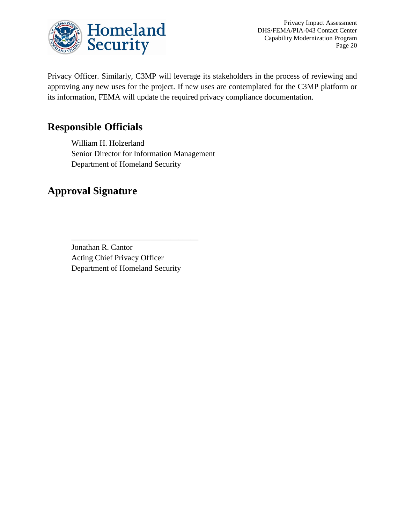

Privacy Impact Assessment DHS/FEMA/PIA-043 Contact Center Capability Modernization Program Page 20

Privacy Officer. Similarly, C3MP will leverage its stakeholders in the process of reviewing and approving any new uses for the project. If new uses are contemplated for the C3MP platform or its information, FEMA will update the required privacy compliance documentation.

## **Responsible Officials**

William H. Holzerland Senior Director for Information Management Department of Homeland Security

## **Approval Signature**

Jonathan R. Cantor Acting Chief Privacy Officer Department of Homeland Security

\_\_\_\_\_\_\_\_\_\_\_\_\_\_\_\_\_\_\_\_\_\_\_\_\_\_\_\_\_\_\_\_